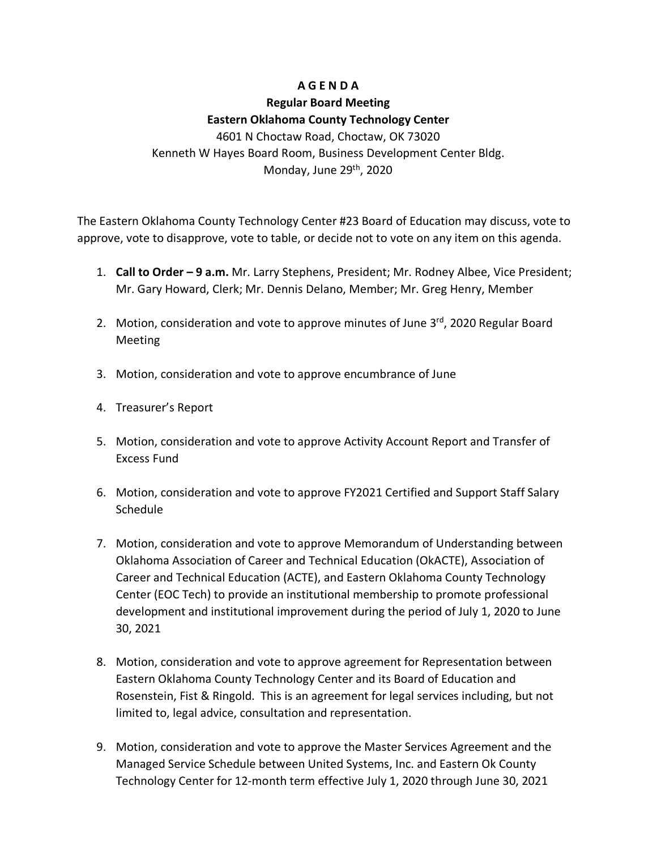# **A G E N D A**

## **Regular Board Meeting**

## **Eastern Oklahoma County Technology Center**

4601 N Choctaw Road, Choctaw, OK 73020 Kenneth W Hayes Board Room, Business Development Center Bldg. Monday, June 29<sup>th</sup>, 2020

The Eastern Oklahoma County Technology Center #23 Board of Education may discuss, vote to approve, vote to disapprove, vote to table, or decide not to vote on any item on this agenda.

- 1. **Call to Order – 9 a.m.** Mr. Larry Stephens, President; Mr. Rodney Albee, Vice President; Mr. Gary Howard, Clerk; Mr. Dennis Delano, Member; Mr. Greg Henry, Member
- 2. Motion, consideration and vote to approve minutes of June  $3<sup>rd</sup>$ , 2020 Regular Board Meeting
- 3. Motion, consideration and vote to approve encumbrance of June
- 4. Treasurer's Report
- 5. Motion, consideration and vote to approve Activity Account Report and Transfer of Excess Fund
- 6. Motion, consideration and vote to approve FY2021 Certified and Support Staff Salary Schedule
- 7. Motion, consideration and vote to approve Memorandum of Understanding between Oklahoma Association of Career and Technical Education (OkACTE), Association of Career and Technical Education (ACTE), and Eastern Oklahoma County Technology Center (EOC Tech) to provide an institutional membership to promote professional development and institutional improvement during the period of July 1, 2020 to June 30, 2021
- 8. Motion, consideration and vote to approve agreement for Representation between Eastern Oklahoma County Technology Center and its Board of Education and Rosenstein, Fist & Ringold. This is an agreement for legal services including, but not limited to, legal advice, consultation and representation.
- 9. Motion, consideration and vote to approve the Master Services Agreement and the Managed Service Schedule between United Systems, Inc. and Eastern Ok County Technology Center for 12-month term effective July 1, 2020 through June 30, 2021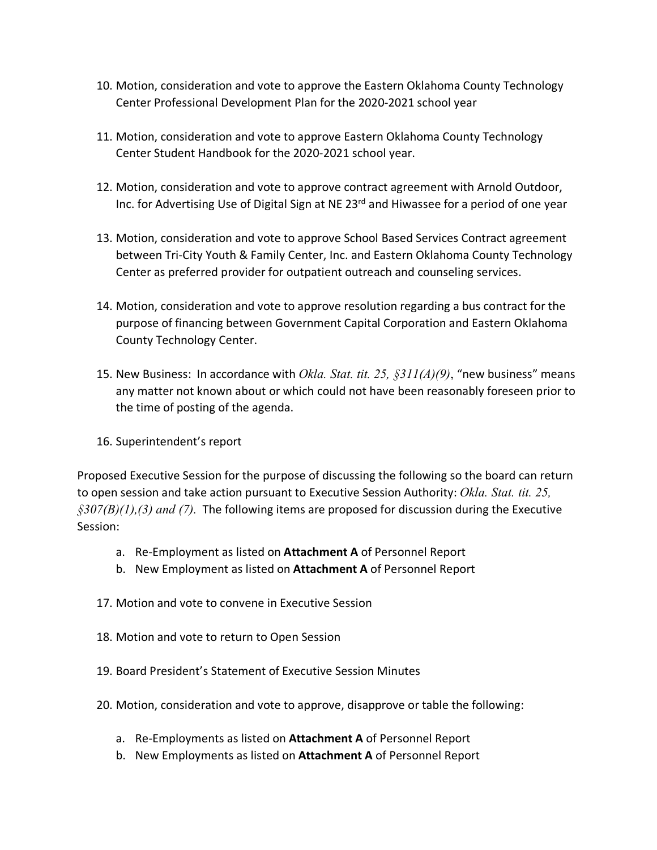- 10. Motion, consideration and vote to approve the Eastern Oklahoma County Technology Center Professional Development Plan for the 2020-2021 school year
- 11. Motion, consideration and vote to approve Eastern Oklahoma County Technology Center Student Handbook for the 2020-2021 school year.
- 12. Motion, consideration and vote to approve contract agreement with Arnold Outdoor, Inc. for Advertising Use of Digital Sign at NE 23<sup>rd</sup> and Hiwassee for a period of one year
- 13. Motion, consideration and vote to approve School Based Services Contract agreement between Tri-City Youth & Family Center, Inc. and Eastern Oklahoma County Technology Center as preferred provider for outpatient outreach and counseling services.
- 14. Motion, consideration and vote to approve resolution regarding a bus contract for the purpose of financing between Government Capital Corporation and Eastern Oklahoma County Technology Center.
- 15. New Business: In accordance with *Okla. Stat. tit. 25, §311(A)(9)*, "new business" means any matter not known about or which could not have been reasonably foreseen prior to the time of posting of the agenda.
- 16. Superintendent's report

Proposed Executive Session for the purpose of discussing the following so the board can return to open session and take action pursuant to Executive Session Authority: *Okla. Stat. tit. 25, §307(B)(1),(3) and (7).* The following items are proposed for discussion during the Executive Session:

- a. Re-Employment as listed on **Attachment A** of Personnel Report
- b. New Employment as listed on **Attachment A** of Personnel Report
- 17. Motion and vote to convene in Executive Session
- 18. Motion and vote to return to Open Session
- 19. Board President's Statement of Executive Session Minutes
- 20. Motion, consideration and vote to approve, disapprove or table the following:
	- a. Re-Employments as listed on **Attachment A** of Personnel Report
	- b. New Employments as listed on **Attachment A** of Personnel Report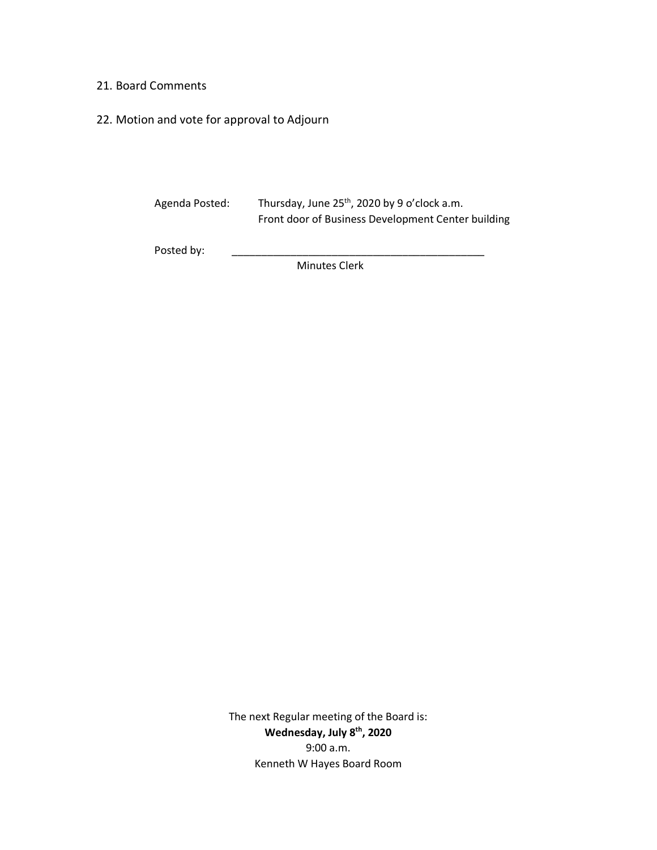### 21. Board Comments

22. Motion and vote for approval to Adjourn

| Agenda Posted: | Thursday, June $25th$ , 2020 by 9 o'clock a.m.<br>Front door of Business Development Center building |
|----------------|------------------------------------------------------------------------------------------------------|
| Posted by:     |                                                                                                      |

Minutes Clerk

The next Regular meeting of the Board is: **Wednesday, July 8th, 2020** 9:00 a.m. Kenneth W Hayes Board Room